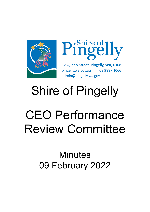



17 Queen Street, Pingelly, WA, 6308 pingelly.wa.gov.au | 08 9887 1066 admin@pingelly.wa.gov.au

# Shire of Pingelly

# CEO Performance Review Committee

## **Minutes** 09 February 2022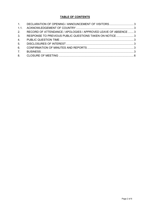#### **TABLE OF CONTENTS**

|                | 1. DECLARATION OF OPENING / ANNOUNCEMENT OF VISITORS3           |  |
|----------------|-----------------------------------------------------------------|--|
| 1.1.           |                                                                 |  |
| 2.             | RECORD OF ATTENDANCE / APOLOGIES / APPROVED LEAVE OF ABSENCE  3 |  |
| 3 <sub>1</sub> | RESPONSE TO PREVIOUS PUBLIC QUESTIONS TAKEN ON NOTICE3          |  |
| 4.             |                                                                 |  |
| 5 <sub>1</sub> |                                                                 |  |
| 6.             |                                                                 |  |
| 7.             |                                                                 |  |
|                |                                                                 |  |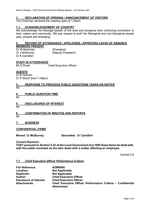#### <span id="page-2-0"></span>**1. DECLARATION OF OPENING / ANNOUNCEMENT OF VISITORS**

The Chairman declared the meeting open at 1.00pm.

#### <span id="page-2-1"></span>**1.1. ACKNOWLEDGEMENT OF COUNTRY**

We acknowledge the Noongar people of this area and recognise their continuing connection to land, waters and community. We pay respect to both the Aboriginal and non-Aboriginal people past, present and emerging.

#### <span id="page-2-2"></span>**2. RECORD OF ATTENDANCE / APOLOGIES / APPROVED LEAVE OF ABSENCE MEMBERS PRESENT**

Cr W Mulroney (President)<br>Cr J McBurney (Deputy Pre (Deputy President) Cr K Camilleri

### **STAFF IN ATTENDANCE**<br>Mr A Dover

Chief Executive Officer

#### **GUESTS**

Cr B Hotham Cr P Wood (from 1:45pm)

#### <span id="page-2-3"></span>**3. RESPONSE TO PREVIOUS PUBLIC QUESTIONS TAKEN ON NOTICE** Nil

#### <span id="page-2-4"></span>**4. PUBLIC QUESTION TIME**

Nil

#### <span id="page-2-5"></span>**5. DISCLOSURES OF INTEREST**

Nil

#### <span id="page-2-6"></span>**6. CONFIRMATION OF MINUTES AND REPORTS**

Nil

#### <span id="page-2-7"></span>**7. BUSINESS**

#### **CONFIDENTIAL ITEMS**

#### **Moved: Cr McBurney Seconded: Cr Camilleri**

**Council Decision:**

**THAT pursuant to Section 5.23 of the Local Government Act 1995 these items be dealt with, with the public excluded as the item deals with a matter affecting an employee.**

Carried 3:0

#### **7.1 Chief Executive Officer Performance Criteria**

| <b>File Reference:</b>         | <b>ADM0000</b>                                                                   |
|--------------------------------|----------------------------------------------------------------------------------|
| Location:                      | <b>Not Applicable</b>                                                            |
| <b>Applicant:</b>              | <b>Not Applicable</b>                                                            |
| Author:                        | <b>Chief Executive Officer</b>                                                   |
| <b>Disclosure of Interest:</b> | <b>Chief Executive Officer</b>                                                   |
| <b>Attachments:</b>            | Chief Executive Officer Performance Criteria - Confidential<br><b>Attachment</b> |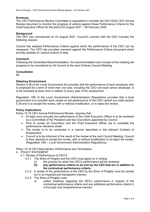#### **Summary**

The CEO Performance Review Committee is requested to consider the 2021/2022 CEO Annual Review document to monitor the progress of actions against these Performance Criteria for the Chief Executive Officer for the period 03 August 2021 – 09 February 2022.

#### **Background**

The CEO has commenced on 03 August 2021. Council's contract with the CEO includes the following clauses:

Council has adopted Performance Criteria against which the performance of the CEO can be measured. The CEO has provided comment against the Performance Criteria document which provide updates on various actions to date.

#### **Comment**

Following the Committee Recommendation, the recommendation and minutes of the meeting will progress to be considered by full Council at the next Ordinary Council Meeting.

#### **Consultation**

Nil

#### **Statutory Environment**

Section 5.38 of the *Local Government Act* provides that the performance of each employee who is employed for a term of more than one year, including the CEO and each senior employee, is to be reviewed at least once in relation to every year of the employment.

Regulation 18D of the Local Government (Administration) Regulations provides that a local government is to consider each review on the performance of the CEO carried out under section 5.38 and is to accept the review, with or without modification, or to reject the review.

#### **Policy Implications**

Policy 10.16 CEO Annual Performance Review, requires that:

- At least once annually the performance of the Chief Executive Officer is to be reviewed by a Committee of the President and two Councillors appointed by Council.
- Prior to review all Councillors and the Chief Executive Officer are to complete the performance indicators sheet.
- The review is to be conducted in a manner described in the relevant Contract of Employment.
- Council is to be informed of the result of the review at the next Council Meeting. Council is then required to accept the review, with or without modification or to reject the review. (Regulation 18D *– Local Government Administration Regulation*s).

Policy 10.19 CEO Recruitment, Performance and Termination

- 4. POLICY STATEMENT
	- 4.1. Review of Performance of CEO'S
		- 4.2.1 The Shire of Pingelly and the CEO must agree on in writing:
			- (i) the process by which the CEO's performance will be reviewed
				- **(ii) any performance criteria to be met by the CEO that are in addition to the contractual performance criteria**
		- 4.2.2 A review of the performance of the CEO by the Shire of Pingelly must be carried out in an impartial and transparent manner.
		- 4.2.3 The Shire of Pingelly must:
			- (i) collect evidence regarding the CEO's performance in respect of the contractual performance criteria and any additional performance criteria in a thorough and comprehensive manner;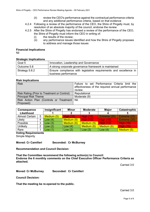- (ii) review the CEO's performance against the contractual performance criteria and any additional performance criteria, based on that evidence
- 4.2.4 Following a review of the performance of the CEO, the Shire of Pingelly must, by resolution of an absolute majority of the council, endorse the review
- 4.2.5 After the Shire of Pingelly has endorsed a review of the performance of the CEO, the Shire of Pingelly must inform the CEO in writing of:
	- (i) the results of the review;
	- (ii) any performance issues identified and how the Shire of Pingelly proposes to address and manage those issues

### **Financial Implications**

Nil

#### **Strategic Implications**

| Goal 5         | Innovation, Leadership and Governance                                                     |  |  |  |
|----------------|-------------------------------------------------------------------------------------------|--|--|--|
| Outcome 5.8    | A strong corporate governance framework is maintained                                     |  |  |  |
| Strategy 5.8.2 | Ensure compliance with legislative requirements and excellence in<br>business performance |  |  |  |

#### **Risk Implications**

| <b>Risk</b>                                    | Failure to set Performance Criteria limit the<br>effectiveness of the required annual performance |
|------------------------------------------------|---------------------------------------------------------------------------------------------------|
|                                                | review.                                                                                           |
| Risk Rating (Prior to Treatment or Control)    | Reputational                                                                                      |
| <b>Principal Risk Theme</b>                    | Moderate (9)                                                                                      |
| Risk Action Plan (Controls or Treatment   Nil. |                                                                                                   |
| Proposed)                                      |                                                                                                   |

| <b>Consequence</b>    |   | Insignificant | <b>Minor</b>     | <b>Moderate</b>  | <b>Major</b>     | Catastrophic     |
|-----------------------|---|---------------|------------------|------------------|------------------|------------------|
| Likelihood            |   |               |                  |                  |                  |                  |
| <b>Almost Certain</b> | 5 | Medium (5)    | <b>High (10)</b> | <b>High (15)</b> | Extreme (20)     | Extreme (25)     |
| Likely                |   | Low $(4)$     | Medium (8)       | <b>High (12)</b> | <b>High (16)</b> | Extreme (20)     |
| Possible              |   | Low $(3)$     | Medium (6)       | Medium (9)       | <b>High (12)</b> | <b>High (15)</b> |
| <b>Unlikely</b>       | ◠ | Low $(2)$     | Low $(4)$        | Medium (6)       | Medium (8)       | <b>High (10)</b> |
| Rare                  |   | Uow(1)        | Low $(2)$        | Low $(3)$        | Low $(4)$        | Medium (5)       |

#### **Voting Requirements**

Simple Majority

**Moved: Cr Camilleri Seconded: Cr McBurney**

**Recommendation and Council Decision:** 

**That the Committee recommend the following action(s) to Council: Endorse the 6 monthly comments on the Chief Executive Officer Performance Criteria as attached.** 

Carried 3:0

**Moved: Cr McBurney Seconded: Cr Camilleri**

**Council Decision:**

**That the meeting be re-opened to the public.**

Carried 3:0